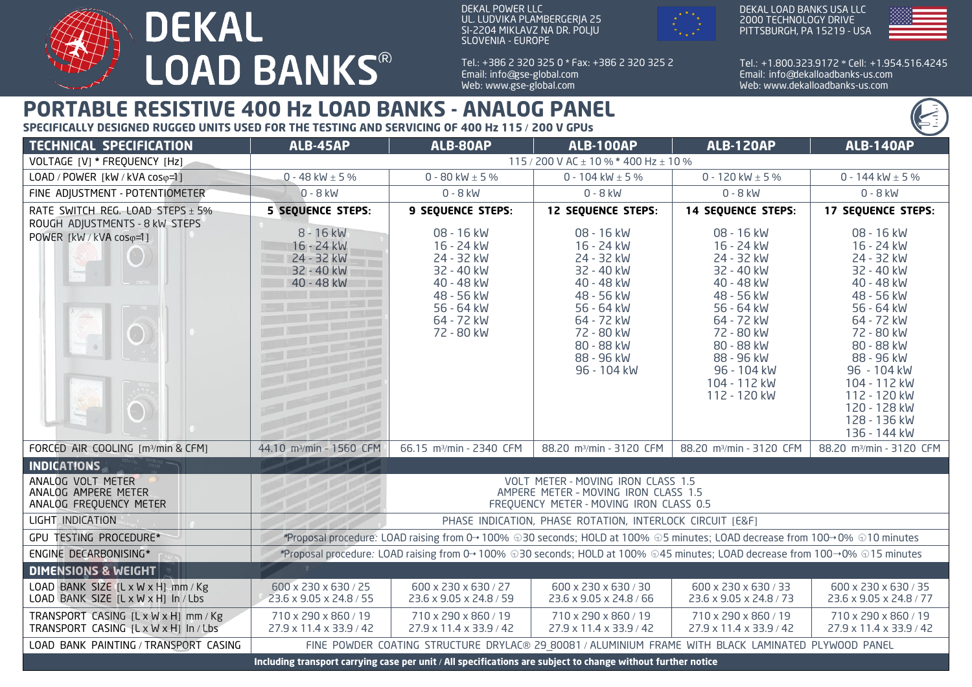

DEKAL POWER LLC UL. LUDVIKA PLAMBERGERJA 25 SI-2204 MIKLAVZ NA DR. POLJU SLOVENIA - EUROPE

Tel.: + 386 2 320 325 0 \* Fax: + 386 2 320 325 2 Email: info@gse-global.com Web: www.gse-global.com



DEKAL LOAD BANKS USA LLC 2000 TECHNOLOGY DRIVE PITTSBURGH, PA 15219 - USA



Tel.: + 1.800.323.9172 \* Cell: + 1.954.516.4245 Email: info@dekalloadbanks-us.com Web: www.dekalloadbanks-us.com

## **PORTABLE RESISTIVE 400 Hz LOAD BANKS - ANALOG PANEL**

**SPECIFICALLY DESIGNED RUGGED UNITS USED FOR THE TESTING AND SERVICING OF 400 Hz 115** / **200 V GPUs**

| <b>TECHNICAL SPECIFICATION</b>                                                | ALB-45AP                                                                                                                    | ALB-80AP                                                                                                                   | <b>ALB-100AP</b>                                                                                                                                                      | <b>ALB-120AP</b>                                                                                                                                                                                      | <b>ALB-140AP</b>                                                                                                                                                                                                                                      |
|-------------------------------------------------------------------------------|-----------------------------------------------------------------------------------------------------------------------------|----------------------------------------------------------------------------------------------------------------------------|-----------------------------------------------------------------------------------------------------------------------------------------------------------------------|-------------------------------------------------------------------------------------------------------------------------------------------------------------------------------------------------------|-------------------------------------------------------------------------------------------------------------------------------------------------------------------------------------------------------------------------------------------------------|
| VOLTAGE [V] * FREQUENCY [Hz]                                                  | 115 / 200 V AC $\pm$ 10 % * 400 Hz $\pm$ 10 %                                                                               |                                                                                                                            |                                                                                                                                                                       |                                                                                                                                                                                                       |                                                                                                                                                                                                                                                       |
| LOAD / POWER [kW / kVA coso=1]                                                | 0 - 48 kW $\pm$ 5 %                                                                                                         | 0 - 80 kW $\pm$ 5 %                                                                                                        | 0 - 104 kW $\pm$ 5 %                                                                                                                                                  | 0 - 120 kW $\pm$ 5 %                                                                                                                                                                                  | 0 - 144 kW $\pm$ 5 %                                                                                                                                                                                                                                  |
| FINE ADJUSTMENT - POTENTIOMETER                                               | $0 - 8$ kW                                                                                                                  | $0 - 8$ kW                                                                                                                 | $0 - 8$ kW                                                                                                                                                            | $0 - 8$ kW                                                                                                                                                                                            | $0 - 8$ kW                                                                                                                                                                                                                                            |
| RATE SWITCH REG. LOAD STEPS $\pm$ 5%<br>ROUGH ADJUSTMENTS - 8 kW STEPS        | <b>5 SEQUENCE STEPS:</b>                                                                                                    | <b>9 SEQUENCE STEPS:</b>                                                                                                   | <b>12 SEQUENCE STEPS:</b>                                                                                                                                             | <b>14 SEQUENCE STEPS:</b>                                                                                                                                                                             | <b>17 SEQUENCE STEPS:</b>                                                                                                                                                                                                                             |
| POWER [kW / kVA coso=1]                                                       | 8 - 16 kW<br>16 - 24 kW<br>24 - 32 kW<br>32 - 40 kW<br>40 - 48 kW                                                           | 08 - 16 kW<br>16 - 24 kW<br>24 - 32 kW<br>32 - 40 kW<br>40 - 48 kW<br>48 - 56 kW<br>56 - 64 kW<br>64 - 72 kW<br>72 - 80 kW | 08 - 16 kW<br>16 - 24 kW<br>24 - 32 kW<br>32 - 40 kW<br>40 - 48 kW<br>48 - 56 kW<br>56 - 64 kW<br>64 - 72 kW<br>72 - 80 kW<br>80 - 88 kW<br>88 - 96 kW<br>96 - 104 kW | 08 - 16 kW<br>16 - 24 kW<br>24 - 32 kW<br>32 - 40 kW<br>40 - 48 kW<br>48 - 56 kW<br>56 - 64 kW<br>64 - 72 kW<br>72 - 80 kW<br>80 - 88 kW<br>88 - 96 kW<br>96 - 104 kW<br>104 - 112 kW<br>112 - 120 kW | 08 - 16 kW<br>16 - 24 kW<br>24 - 32 kW<br>32 - 40 kW<br>40 - 48 kW<br>48 - 56 kW<br>56 - 64 kW<br>64 - 72 kW<br>72 - 80 kW<br>80 - 88 kW<br>88 - 96 kW<br>96 - 104 kW<br>104 - 112 kW<br>112 - 120 kW<br>120 - 128 kW<br>128 - 136 kW<br>136 - 144 kW |
| FORCED AIR COOLING [m3/min & CFM]                                             | 44.10 m <sup>3</sup> /min - 1560 CFM                                                                                        | 66.15 m <sup>3</sup> /min - 2340 CFM                                                                                       | 88.20 m <sup>3</sup> /min - 3120 CFM                                                                                                                                  | 88.20 m <sup>3</sup> /min - 3120 CFM                                                                                                                                                                  | 88.20 m <sup>3</sup> /min - 3120 CFM                                                                                                                                                                                                                  |
| <b>INDICATIONS</b>                                                            |                                                                                                                             |                                                                                                                            |                                                                                                                                                                       |                                                                                                                                                                                                       |                                                                                                                                                                                                                                                       |
| ANALOG VOLT METER<br>ANALOG AMPERE METER<br>ANALOG FREQUENCY METER            | VOLT METER - MOVING IRON CLASS 1.5<br>AMPERE METER - MOVING IRON CLASS 1.5<br>FREQUENCY METER - MOVING IRON CLASS 0.5       |                                                                                                                            |                                                                                                                                                                       |                                                                                                                                                                                                       |                                                                                                                                                                                                                                                       |
| LIGHT INDICATION                                                              | PHASE INDICATION, PHASE ROTATION, INTERLOCK CIRCUIT [E&F]                                                                   |                                                                                                                            |                                                                                                                                                                       |                                                                                                                                                                                                       |                                                                                                                                                                                                                                                       |
| <b>GPU TESTING PROCEDURE*</b>                                                 | *Proposal procedure: LOAD raising from 0→100% 030 seconds; HOLD at 100% 05 minutes; LOAD decrease from 100→0% 010 minutes   |                                                                                                                            |                                                                                                                                                                       |                                                                                                                                                                                                       |                                                                                                                                                                                                                                                       |
| ENGINE DECARBONISING*                                                         | *Proposal procedure: LOAD raising from 0→ 100% 030 seconds; HOLD at 100% 045 minutes; LOAD decrease from 100→0% 015 minutes |                                                                                                                            |                                                                                                                                                                       |                                                                                                                                                                                                       |                                                                                                                                                                                                                                                       |
| <b>DIMENSIONS &amp; WEIGHT</b>                                                |                                                                                                                             |                                                                                                                            |                                                                                                                                                                       |                                                                                                                                                                                                       |                                                                                                                                                                                                                                                       |
| LOAD BANK SIZE [L x W x H] mm / Kg<br>LOAD BANK SIZE [L x W x H] In / Lbs     | 600 x 230 x 630 / 25<br>23.6 x 9.05 x 24.8 / 55                                                                             | 600 x 230 x 630 / 27<br>23.6 x 9.05 x 24.8 / 59                                                                            | 600 x 230 x 630 / 30<br>23.6 x 9.05 x 24.8 / 66                                                                                                                       | 600 x 230 x 630 / 33<br>23.6 x 9.05 x 24.8 / 73                                                                                                                                                       | 600 x 230 x 630 / 35<br>23.6 x 9.05 x 24.8 / 77                                                                                                                                                                                                       |
| TRANSPORT CASING [L x W x H] mm / Kg<br>TRANSPORT CASING [L x W x H] In / Lbs | 710 x 290 x 860 / 19<br>27.9 x 11.4 x 33.9 / 42                                                                             | 710 x 290 x 860 / 19<br>27.9 x 11.4 x 33.9 / 42                                                                            | 710 x 290 x 860 / 19<br>27.9 x 11.4 x 33.9 / 42                                                                                                                       | 710 x 290 x 860 / 19<br>27.9 x 11.4 x 33.9 / 42                                                                                                                                                       | 710 x 290 x 860 / 19<br>27.9 x 11.4 x 33.9 / 42                                                                                                                                                                                                       |
| LOAD BANK PAINTING / TRANSPORT CASING                                         | FINE POWDER COATING STRUCTURE DRYLAC® 29 80081 / ALUMINIUM FRAME WITH BLACK LAMINATED PLYWOOD PANEL                         |                                                                                                                            |                                                                                                                                                                       |                                                                                                                                                                                                       |                                                                                                                                                                                                                                                       |
|                                                                               | Including transport carrying case per unit / All specifications are subject to change without further notice                |                                                                                                                            |                                                                                                                                                                       |                                                                                                                                                                                                       |                                                                                                                                                                                                                                                       |